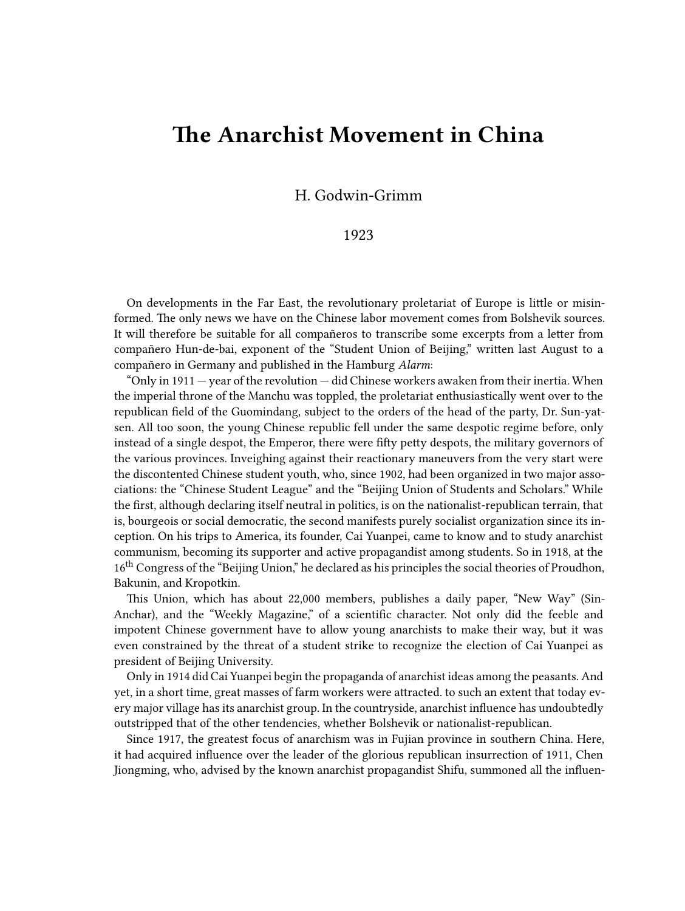## **The Anarchist Movement in China**

H. Godwin-Grimm

## 1923

On developments in the Far East, the revolutionary proletariat of Europe is little or misinformed. The only news we have on the Chinese labor movement comes from Bolshevik sources. It will therefore be suitable for all compañeros to transcribe some excerpts from a letter from compañero Hun-de-bai, exponent of the "Student Union of Beijing," written last August to a compañero in Germany and published in the Hamburg *Alarm*:

"Only in  $1911$  – year of the revolution – did Chinese workers awaken from their inertia. When the imperial throne of the Manchu was toppled, the proletariat enthusiastically went over to the republican field of the Guomindang, subject to the orders of the head of the party, Dr. Sun-yatsen. All too soon, the young Chinese republic fell under the same despotic regime before, only instead of a single despot, the Emperor, there were fifty petty despots, the military governors of the various provinces. Inveighing against their reactionary maneuvers from the very start were the discontented Chinese student youth, who, since 1902, had been organized in two major associations: the "Chinese Student League" and the "Beijing Union of Students and Scholars." While the first, although declaring itself neutral in politics, is on the nationalist-republican terrain, that is, bourgeois or social democratic, the second manifests purely socialist organization since its inception. On his trips to America, its founder, Cai Yuanpei, came to know and to study anarchist communism, becoming its supporter and active propagandist among students. So in 1918, at the 16<sup>th</sup> Congress of the "Beijing Union," he declared as his principles the social theories of Proudhon, Bakunin, and Kropotkin.

This Union, which has about 22,000 members, publishes a daily paper, "New Way" (Sin-Anchar), and the "Weekly Magazine," of a scientific character. Not only did the feeble and impotent Chinese government have to allow young anarchists to make their way, but it was even constrained by the threat of a student strike to recognize the election of Cai Yuanpei as president of Beijing University.

Only in 1914 did Cai Yuanpei begin the propaganda of anarchist ideas among the peasants. And yet, in a short time, great masses of farm workers were attracted. to such an extent that today every major village has its anarchist group. In the countryside, anarchist influence has undoubtedly outstripped that of the other tendencies, whether Bolshevik or nationalist-republican.

Since 1917, the greatest focus of anarchism was in Fujian province in southern China. Here, it had acquired influence over the leader of the glorious republican insurrection of 1911, Chen Jiongming, who, advised by the known anarchist propagandist Shifu, summoned all the influen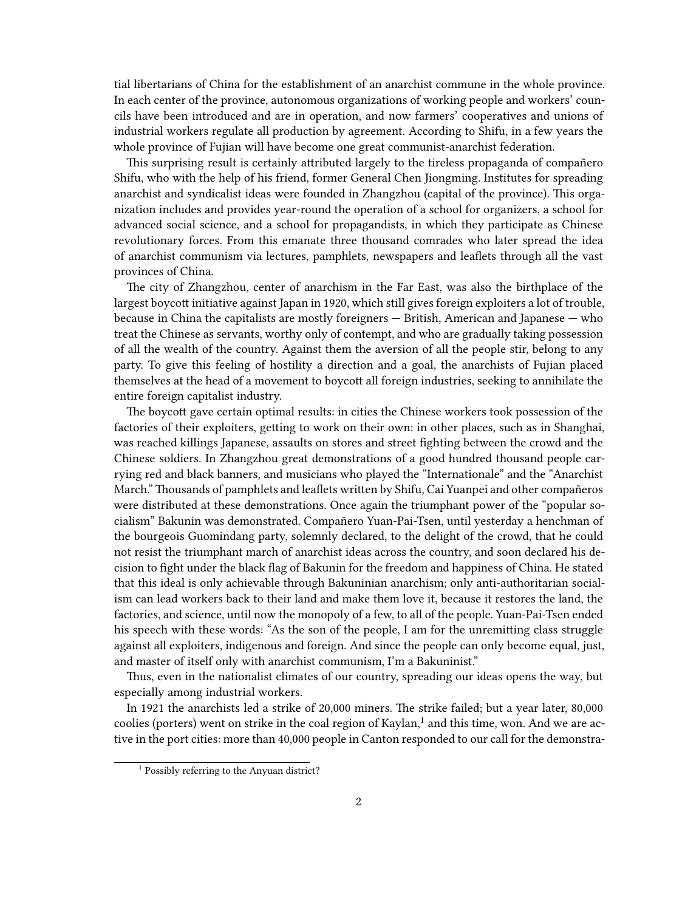tial libertarians of China for the establishment of an anarchist commune in the whole province. In each center of the province, autonomous organizations of working people and workers' councils have been introduced and are in operation, and now farmers' cooperatives and unions of industrial workers regulate all production by agreement. According to Shifu, in a few years the whole province of Fujian will have become one great communist-anarchist federation.

This surprising result is certainly attributed largely to the tireless propaganda of compañero Shifu, who with the help of his friend, former General Chen Jiongming. Institutes for spreading anarchist and syndicalist ideas were founded in Zhangzhou (capital of the province). This organization includes and provides year-round the operation of a school for organizers, a school for advanced social science, and a school for propagandists, in which they participate as Chinese revolutionary forces. From this emanate three thousand comrades who later spread the idea of anarchist communism via lectures, pamphlets, newspapers and leaflets through all the vast provinces of China.

The city of Zhangzhou, center of anarchism in the Far East, was also the birthplace of the largest boycott initiative against Japan in 1920, which still gives foreign exploiters a lot of trouble, because in China the capitalists are mostly foreigners — British, American and Japanese — who treat the Chinese as servants, worthy only of contempt, and who are gradually taking possession of all the wealth of the country. Against them the aversion of all the people stir, belong to any party. To give this feeling of hostility a direction and a goal, the anarchists of Fujian placed themselves at the head of a movement to boycott all foreign industries, seeking to annihilate the entire foreign capitalist industry.

The boycott gave certain optimal results: in cities the Chinese workers took possession of the factories of their exploiters, getting to work on their own: in other places, such as in Shanghai, was reached killings Japanese, assaults on stores and street fighting between the crowd and the Chinese soldiers. In Zhangzhou great demonstrations of a good hundred thousand people carrying red and black banners, and musicians who played the "Internationale" and the "Anarchist March." Thousands of pamphlets and leaflets written by Shifu, Cai Yuanpei and other compañeros were distributed at these demonstrations. Once again the triumphant power of the "popular socialism" Bakunin was demonstrated. Compañero Yuan-Pai-Tsen, until yesterday a henchman of the bourgeois Guomindang party, solemnly declared, to the delight of the crowd, that he could not resist the triumphant march of anarchist ideas across the country, and soon declared his decision to fight under the black flag of Bakunin for the freedom and happiness of China. He stated that this ideal is only achievable through Bakuninian anarchism; only anti-authoritarian socialism can lead workers back to their land and make them love it, because it restores the land, the factories, and science, until now the monopoly of a few, to all of the people. Yuan-Pai-Tsen ended his speech with these words: "As the son of the people, I am for the unremitting class struggle against all exploiters, indigenous and foreign. And since the people can only become equal, just, and master of itself only with anarchist communism, I'm a Bakuninist."

Thus, even in the nationalist climates of our country, spreading our ideas opens the way, but especially among industrial workers.

In 1921 the anarchists led a strike of 20,000 miners. The strike failed; but a year later, 80,000 coolies (porters) went on strike in the coal region of Kaylan, $^1$  and this time, won. And we are active in the port cities: more than 40,000 people in Canton responded to our call for the demonstra-

<sup>&</sup>lt;sup>1</sup> Possibly referring to the Anyuan district?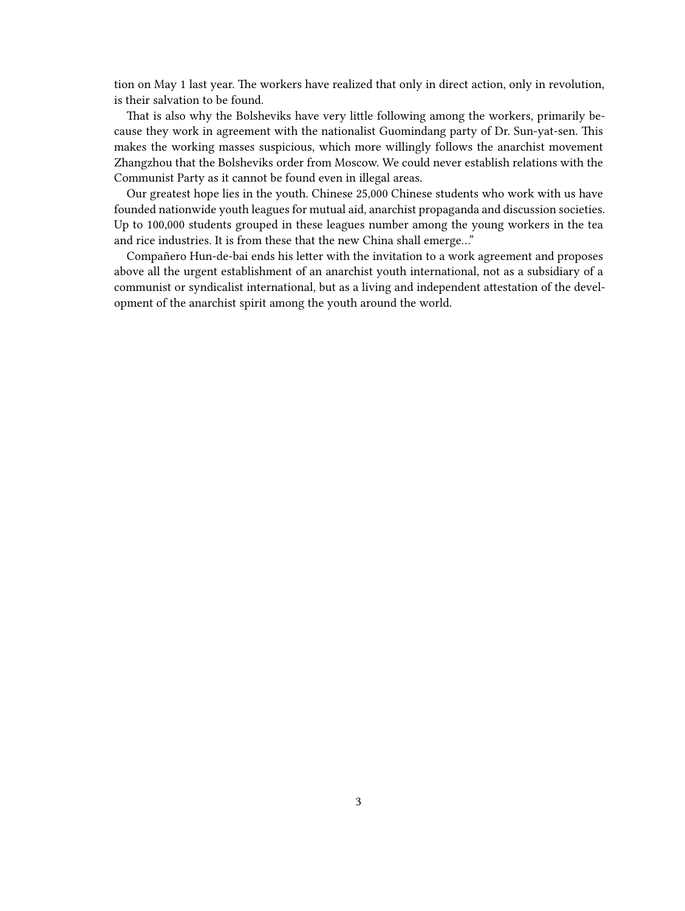tion on May 1 last year. The workers have realized that only in direct action, only in revolution, is their salvation to be found.

That is also why the Bolsheviks have very little following among the workers, primarily because they work in agreement with the nationalist Guomindang party of Dr. Sun-yat-sen. This makes the working masses suspicious, which more willingly follows the anarchist movement Zhangzhou that the Bolsheviks order from Moscow. We could never establish relations with the Communist Party as it cannot be found even in illegal areas.

Our greatest hope lies in the youth. Chinese 25,000 Chinese students who work with us have founded nationwide youth leagues for mutual aid, anarchist propaganda and discussion societies. Up to 100,000 students grouped in these leagues number among the young workers in the tea and rice industries. It is from these that the new China shall emerge…"

Compañero Hun-de-bai ends his letter with the invitation to a work agreement and proposes above all the urgent establishment of an anarchist youth international, not as a subsidiary of a communist or syndicalist international, but as a living and independent attestation of the development of the anarchist spirit among the youth around the world.